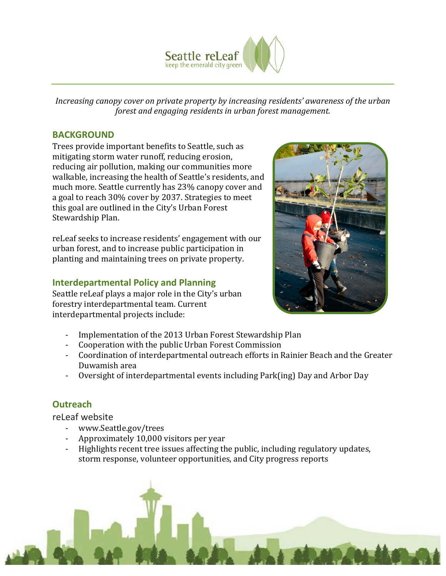

*Increasing canopy cover on private property by increasing residents' awareness of the urban forest and engaging residents in urban forest management.*

### **BACKGROUND**

Trees provide important benefits to Seattle, such as mitigating storm water runoff, reducing erosion, reducing air pollution, making our communities more walkable, increasing the health of Seattle's residents, and much more. Seattle currently has 23% canopy cover and a goal to reach 30% cover by 2037. Strategies to meet this goal are outlined in the City's Urban Forest Stewardship Plan.

reLeaf seeks to increase residents' engagement with our urban forest, and to increase public participation in planting and maintaining trees on private property.

## **Interdepartmental Policy and Planning**

Seattle reLeaf plays a major role in the City's urban forestry interdepartmental team. Current interdepartmental projects include:



- Implementation of the 2013 Urban Forest Stewardship Plan
- Cooperation with the public Urban Forest Commission
- Coordination of interdepartmental outreach efforts in Rainier Beach and the Greater Duwamish area
- Oversight of interdepartmental events including Park(ing) Day and Arbor Day

# **Outreach**

reLeaf website

- www.Seattle.gov/trees
- Approximately 10,000 visitors per year
- Highlights recent tree issues affecting the public, including regulatory updates, storm response, volunteer opportunities, and City progress reports